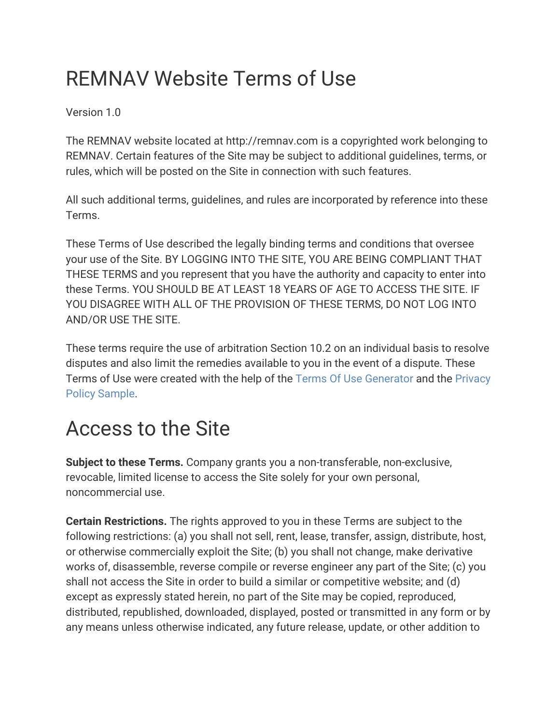### REMNAV Website Terms of Use

Version 1.0

The REMNAV website located at http://remnav.com is a copyrighted work belonging to REMNAV. Certain features of the Site may be subject to additional guidelines, terms, or rules, which will be posted on the Site in connection with such features.

All such additional terms, guidelines, and rules are incorporated by reference into these Terms.

These Terms of Use described the legally binding terms and conditions that oversee your use of the Site. BY LOGGING INTO THE SITE, YOU ARE BEING COMPLIANT THAT THESE TERMS and you represent that you have the authority and capacity to enter into these Terms. YOU SHOULD BE AT LEAST 18 YEARS OF AGE TO ACCESS THE SITE. IF YOU DISAGREE WITH ALL OF THE PROVISION OF THESE TERMS, DO NOT LOG INTO AND/OR USE THE SITE.

These terms require the use of arbitration Section 10.2 on an individual basis to resolve disputes and also limit the remedies available to you in the event of a dispute. These Terms of Use were created with the help of the [Terms Of Use Generator](https://www.termsofusegenerator.net/) and the [Privacy](https://www.privacy-policy-sample.com/) [Policy Sample](https://www.privacy-policy-sample.com/).

#### Access to the Site

**Subject to these Terms.** Company grants you a non-transferable, non-exclusive, revocable, limited license to access the Site solely for your own personal, noncommercial use.

**Certain Restrictions.** The rights approved to you in these Terms are subject to the following restrictions: (a) you shall not sell, rent, lease, transfer, assign, distribute, host, or otherwise commercially exploit the Site; (b) you shall not change, make derivative works of, disassemble, reverse compile or reverse engineer any part of the Site; (c) you shall not access the Site in order to build a similar or competitive website; and (d) except as expressly stated herein, no part of the Site may be copied, reproduced, distributed, republished, downloaded, displayed, posted or transmitted in any form or by any means unless otherwise indicated, any future release, update, or other addition to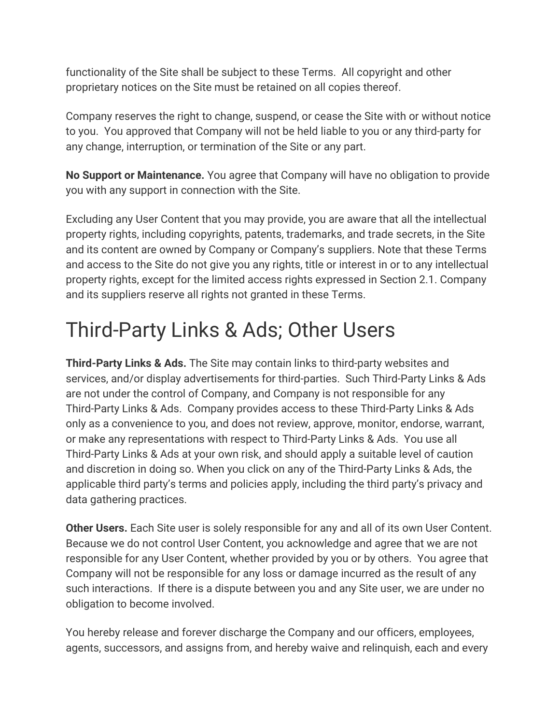functionality of the Site shall be subject to these Terms. All copyright and other proprietary notices on the Site must be retained on all copies thereof.

Company reserves the right to change, suspend, or cease the Site with or without notice to you. You approved that Company will not be held liable to you or any third-party for any change, interruption, or termination of the Site or any part.

**No Support or Maintenance.** You agree that Company will have no obligation to provide you with any support in connection with the Site.

Excluding any User Content that you may provide, you are aware that all the intellectual property rights, including copyrights, patents, trademarks, and trade secrets, in the Site and its content are owned by Company or Company's suppliers. Note that these Terms and access to the Site do not give you any rights, title or interest in or to any intellectual property rights, except for the limited access rights expressed in Section 2.1. Company and its suppliers reserve all rights not granted in these Terms.

### Third-Party Links & Ads; Other Users

**Third-Party Links & Ads.** The Site may contain links to third-party websites and services, and/or display advertisements for third-parties. Such Third-Party Links & Ads are not under the control of Company, and Company is not responsible for any Third-Party Links & Ads. Company provides access to these Third-Party Links & Ads only as a convenience to you, and does not review, approve, monitor, endorse, warrant, or make any representations with respect to Third-Party Links & Ads. You use all Third-Party Links & Ads at your own risk, and should apply a suitable level of caution and discretion in doing so. When you click on any of the Third-Party Links & Ads, the applicable third party's terms and policies apply, including the third party's privacy and data gathering practices.

**Other Users.** Each Site user is solely responsible for any and all of its own User Content. Because we do not control User Content, you acknowledge and agree that we are not responsible for any User Content, whether provided by you or by others. You agree that Company will not be responsible for any loss or damage incurred as the result of any such interactions. If there is a dispute between you and any Site user, we are under no obligation to become involved.

You hereby release and forever discharge the Company and our officers, employees, agents, successors, and assigns from, and hereby waive and relinquish, each and every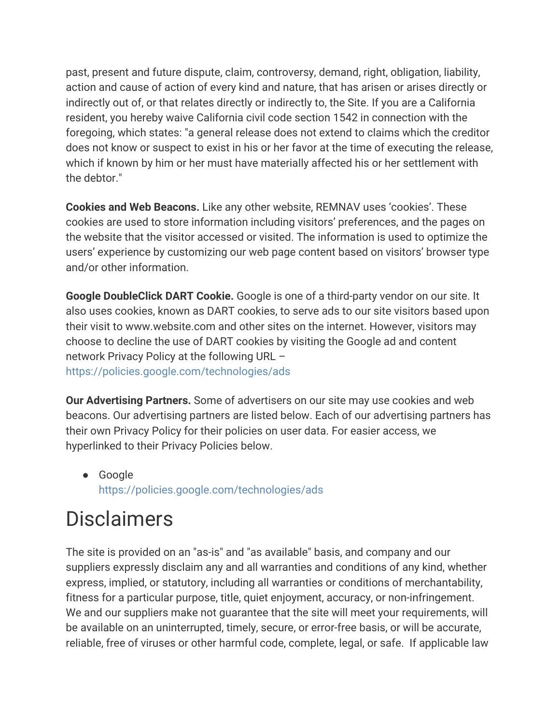past, present and future dispute, claim, controversy, demand, right, obligation, liability, action and cause of action of every kind and nature, that has arisen or arises directly or indirectly out of, or that relates directly or indirectly to, the Site. If you are a California resident, you hereby waive California civil code section 1542 in connection with the foregoing, which states: "a general release does not extend to claims which the creditor does not know or suspect to exist in his or her favor at the time of executing the release, which if known by him or her must have materially affected his or her settlement with the debtor."

**Cookies and Web Beacons.** Like any other website, REMNAV uses 'cookies'. These cookies are used to store information including visitors' preferences, and the pages on the website that the visitor accessed or visited. The information is used to optimize the users' experience by customizing our web page content based on visitors' browser type and/or other information.

**Google DoubleClick DART Cookie.** Google is one of a third-party vendor on our site. It also uses cookies, known as DART cookies, to serve ads to our site visitors based upon their visit to www.website.com and other sites on the internet. However, visitors may choose to decline the use of DART cookies by visiting the Google ad and content network Privacy Policy at the following URL – <https://policies.google.com/technologies/ads>

**Our Advertising Partners.** Some of advertisers on our site may use cookies and web beacons. Our advertising partners are listed below. Each of our advertising partners has their own Privacy Policy for their policies on user data. For easier access, we hyperlinked to their Privacy Policies below.

● Google <https://policies.google.com/technologies/ads>

### **Disclaimers**

The site is provided on an "as-is" and "as available" basis, and company and our suppliers expressly disclaim any and all warranties and conditions of any kind, whether express, implied, or statutory, including all warranties or conditions of merchantability, fitness for a particular purpose, title, quiet enjoyment, accuracy, or non-infringement. We and our suppliers make not guarantee that the site will meet your requirements, will be available on an uninterrupted, timely, secure, or error-free basis, or will be accurate, reliable, free of viruses or other harmful code, complete, legal, or safe. If applicable law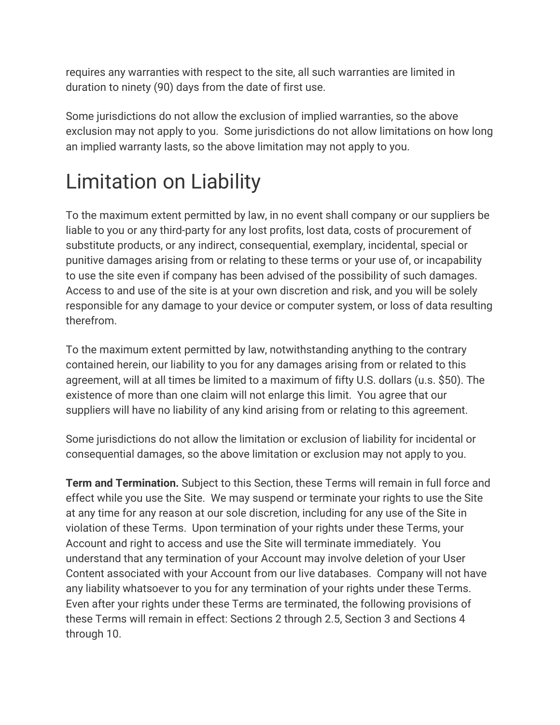requires any warranties with respect to the site, all such warranties are limited in duration to ninety (90) days from the date of first use.

Some jurisdictions do not allow the exclusion of implied warranties, so the above exclusion may not apply to you. Some jurisdictions do not allow limitations on how long an implied warranty lasts, so the above limitation may not apply to you.

# Limitation on Liability

To the maximum extent permitted by law, in no event shall company or our suppliers be liable to you or any third-party for any lost profits, lost data, costs of procurement of substitute products, or any indirect, consequential, exemplary, incidental, special or punitive damages arising from or relating to these terms or your use of, or incapability to use the site even if company has been advised of the possibility of such damages. Access to and use of the site is at your own discretion and risk, and you will be solely responsible for any damage to your device or computer system, or loss of data resulting therefrom.

To the maximum extent permitted by law, notwithstanding anything to the contrary contained herein, our liability to you for any damages arising from or related to this agreement, will at all times be limited to a maximum of fifty U.S. dollars (u.s. \$50). The existence of more than one claim will not enlarge this limit. You agree that our suppliers will have no liability of any kind arising from or relating to this agreement.

Some jurisdictions do not allow the limitation or exclusion of liability for incidental or consequential damages, so the above limitation or exclusion may not apply to you.

**Term and Termination.** Subject to this Section, these Terms will remain in full force and effect while you use the Site. We may suspend or terminate your rights to use the Site at any time for any reason at our sole discretion, including for any use of the Site in violation of these Terms. Upon termination of your rights under these Terms, your Account and right to access and use the Site will terminate immediately. You understand that any termination of your Account may involve deletion of your User Content associated with your Account from our live databases. Company will not have any liability whatsoever to you for any termination of your rights under these Terms. Even after your rights under these Terms are terminated, the following provisions of these Terms will remain in effect: Sections 2 through 2.5, Section 3 and Sections 4 through 10.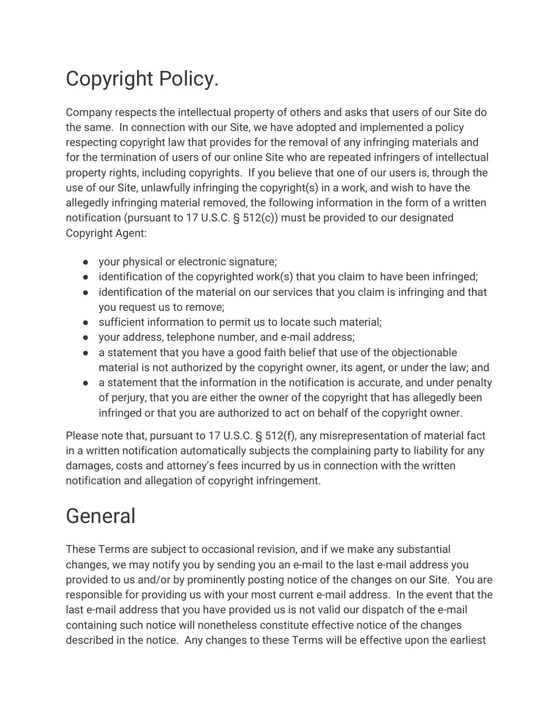# Copyright Policy.

Company respects the intellectual property of others and asks that users of our Site do the same. In connection with our Site, we have adopted and implemented a policy respecting copyright law that provides for the removal of any infringing materials and for the termination of users of our online Site who are repeated infringers of intellectual property rights, including copyrights. If you believe that one of our users is, through the use of our Site, unlawfully infringing the copyright(s) in a work, and wish to have the allegedly infringing material removed, the following information in the form of a written notification (pursuant to 17 U.S.C. § 512(c)) must be provided to our designated Copyright Agent:

- your physical or electronic signature;
- $\bullet$  identification of the copyrighted work(s) that you claim to have been infringed;
- identification of the material on our services that you claim is infringing and that you request us to remove;
- sufficient information to permit us to locate such material;
- your address, telephone number, and e-mail address;
- a statement that you have a good faith belief that use of the objectionable material is not authorized by the copyright owner, its agent, or under the law; and
- a statement that the information in the notification is accurate, and under penalty of perjury, that you are either the owner of the copyright that has allegedly been infringed or that you are authorized to act on behalf of the copyright owner.

Please note that, pursuant to 17 U.S.C. § 512(f), any misrepresentation of material fact in a written notification automatically subjects the complaining party to liability for any damages, costs and attorney's fees incurred by us in connection with the written notification and allegation of copyright infringement.

#### General

These Terms are subject to occasional revision, and if we make any substantial changes, we may notify you by sending you an e-mail to the last e-mail address you provided to us and/or by prominently posting notice of the changes on our Site. You are responsible for providing us with your most current e-mail address. In the event that the last e-mail address that you have provided us is not valid our dispatch of the e-mail containing such notice will nonetheless constitute effective notice of the changes described in the notice. Any changes to these Terms will be effective upon the earliest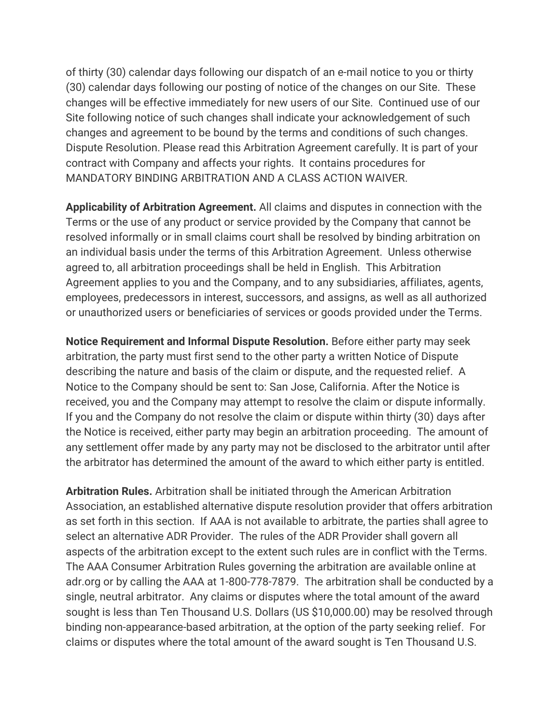of thirty (30) calendar days following our dispatch of an e-mail notice to you or thirty (30) calendar days following our posting of notice of the changes on our Site. These changes will be effective immediately for new users of our Site. Continued use of our Site following notice of such changes shall indicate your acknowledgement of such changes and agreement to be bound by the terms and conditions of such changes. Dispute Resolution. Please read this Arbitration Agreement carefully. It is part of your contract with Company and affects your rights. It contains procedures for MANDATORY BINDING ARBITRATION AND A CLASS ACTION WAIVER.

**Applicability of Arbitration Agreement.** All claims and disputes in connection with the Terms or the use of any product or service provided by the Company that cannot be resolved informally or in small claims court shall be resolved by binding arbitration on an individual basis under the terms of this Arbitration Agreement. Unless otherwise agreed to, all arbitration proceedings shall be held in English. This Arbitration Agreement applies to you and the Company, and to any subsidiaries, affiliates, agents, employees, predecessors in interest, successors, and assigns, as well as all authorized or unauthorized users or beneficiaries of services or goods provided under the Terms.

**Notice Requirement and Informal Dispute Resolution.** Before either party may seek arbitration, the party must first send to the other party a written Notice of Dispute describing the nature and basis of the claim or dispute, and the requested relief. A Notice to the Company should be sent to: San Jose, California. After the Notice is received, you and the Company may attempt to resolve the claim or dispute informally. If you and the Company do not resolve the claim or dispute within thirty (30) days after the Notice is received, either party may begin an arbitration proceeding. The amount of any settlement offer made by any party may not be disclosed to the arbitrator until after the arbitrator has determined the amount of the award to which either party is entitled.

**Arbitration Rules.** Arbitration shall be initiated through the American Arbitration Association, an established alternative dispute resolution provider that offers arbitration as set forth in this section. If AAA is not available to arbitrate, the parties shall agree to select an alternative ADR Provider. The rules of the ADR Provider shall govern all aspects of the arbitration except to the extent such rules are in conflict with the Terms. The AAA Consumer Arbitration Rules governing the arbitration are available online at adr.org or by calling the AAA at 1-800-778-7879. The arbitration shall be conducted by a single, neutral arbitrator. Any claims or disputes where the total amount of the award sought is less than Ten Thousand U.S. Dollars (US \$10,000.00) may be resolved through binding non-appearance-based arbitration, at the option of the party seeking relief. For claims or disputes where the total amount of the award sought is Ten Thousand U.S.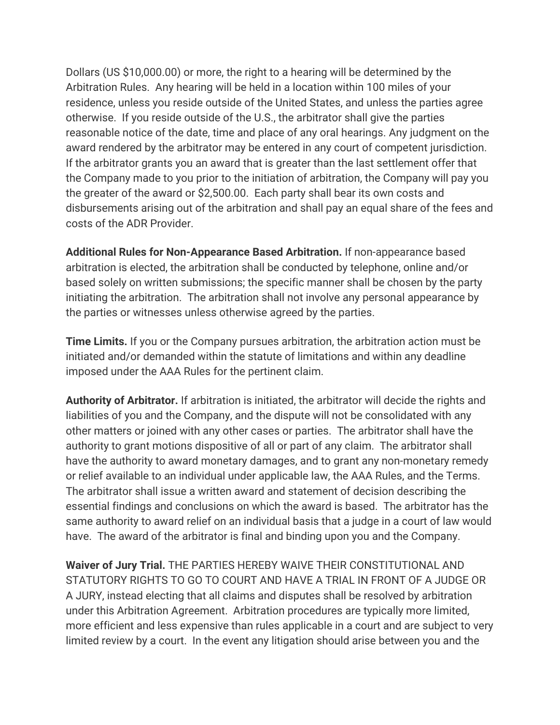Dollars (US \$10,000.00) or more, the right to a hearing will be determined by the Arbitration Rules. Any hearing will be held in a location within 100 miles of your residence, unless you reside outside of the United States, and unless the parties agree otherwise. If you reside outside of the U.S., the arbitrator shall give the parties reasonable notice of the date, time and place of any oral hearings. Any judgment on the award rendered by the arbitrator may be entered in any court of competent jurisdiction. If the arbitrator grants you an award that is greater than the last settlement offer that the Company made to you prior to the initiation of arbitration, the Company will pay you the greater of the award or \$2,500.00. Each party shall bear its own costs and disbursements arising out of the arbitration and shall pay an equal share of the fees and costs of the ADR Provider.

**Additional Rules for Non-Appearance Based Arbitration.** If non-appearance based arbitration is elected, the arbitration shall be conducted by telephone, online and/or based solely on written submissions; the specific manner shall be chosen by the party initiating the arbitration. The arbitration shall not involve any personal appearance by the parties or witnesses unless otherwise agreed by the parties.

**Time Limits.** If you or the Company pursues arbitration, the arbitration action must be initiated and/or demanded within the statute of limitations and within any deadline imposed under the AAA Rules for the pertinent claim.

**Authority of Arbitrator.** If arbitration is initiated, the arbitrator will decide the rights and liabilities of you and the Company, and the dispute will not be consolidated with any other matters or joined with any other cases or parties. The arbitrator shall have the authority to grant motions dispositive of all or part of any claim. The arbitrator shall have the authority to award monetary damages, and to grant any non-monetary remedy or relief available to an individual under applicable law, the AAA Rules, and the Terms. The arbitrator shall issue a written award and statement of decision describing the essential findings and conclusions on which the award is based. The arbitrator has the same authority to award relief on an individual basis that a judge in a court of law would have. The award of the arbitrator is final and binding upon you and the Company.

**Waiver of Jury Trial.** THE PARTIES HEREBY WAIVE THEIR CONSTITUTIONAL AND STATUTORY RIGHTS TO GO TO COURT AND HAVE A TRIAL IN FRONT OF A JUDGE OR A JURY, instead electing that all claims and disputes shall be resolved by arbitration under this Arbitration Agreement. Arbitration procedures are typically more limited, more efficient and less expensive than rules applicable in a court and are subject to very limited review by a court. In the event any litigation should arise between you and the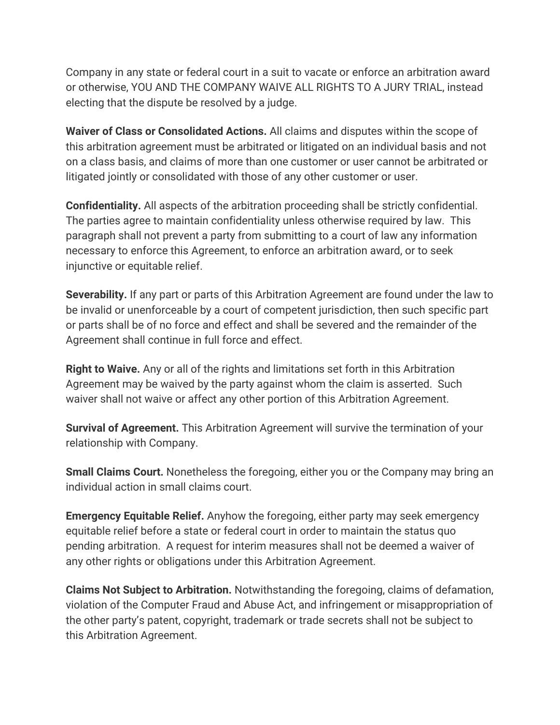Company in any state or federal court in a suit to vacate or enforce an arbitration award or otherwise, YOU AND THE COMPANY WAIVE ALL RIGHTS TO A JURY TRIAL, instead electing that the dispute be resolved by a judge.

**Waiver of Class or Consolidated Actions.** All claims and disputes within the scope of this arbitration agreement must be arbitrated or litigated on an individual basis and not on a class basis, and claims of more than one customer or user cannot be arbitrated or litigated jointly or consolidated with those of any other customer or user.

**Confidentiality.** All aspects of the arbitration proceeding shall be strictly confidential. The parties agree to maintain confidentiality unless otherwise required by law. This paragraph shall not prevent a party from submitting to a court of law any information necessary to enforce this Agreement, to enforce an arbitration award, or to seek injunctive or equitable relief.

**Severability.** If any part or parts of this Arbitration Agreement are found under the law to be invalid or unenforceable by a court of competent jurisdiction, then such specific part or parts shall be of no force and effect and shall be severed and the remainder of the Agreement shall continue in full force and effect.

**Right to Waive.** Any or all of the rights and limitations set forth in this Arbitration Agreement may be waived by the party against whom the claim is asserted. Such waiver shall not waive or affect any other portion of this Arbitration Agreement.

**Survival of Agreement.** This Arbitration Agreement will survive the termination of your relationship with Company.

**Small Claims Court.** Nonetheless the foregoing, either you or the Company may bring an individual action in small claims court.

**Emergency Equitable Relief.** Anyhow the foregoing, either party may seek emergency equitable relief before a state or federal court in order to maintain the status quo pending arbitration. A request for interim measures shall not be deemed a waiver of any other rights or obligations under this Arbitration Agreement.

**Claims Not Subject to Arbitration.** Notwithstanding the foregoing, claims of defamation, violation of the Computer Fraud and Abuse Act, and infringement or misappropriation of the other party's patent, copyright, trademark or trade secrets shall not be subject to this Arbitration Agreement.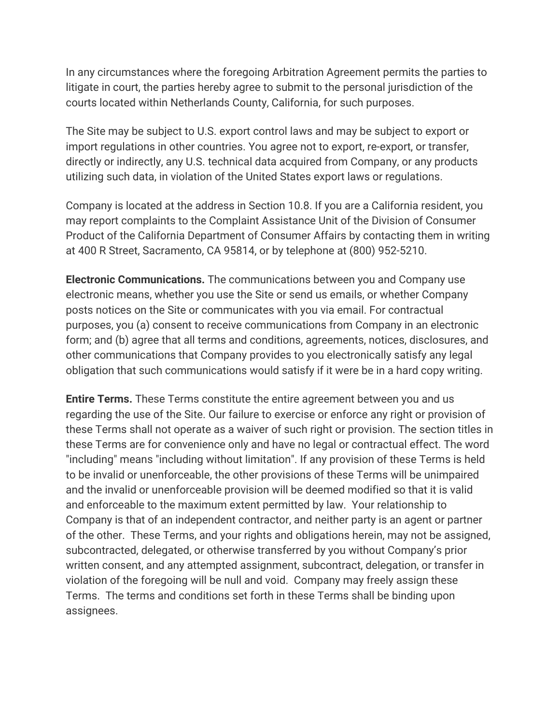In any circumstances where the foregoing Arbitration Agreement permits the parties to litigate in court, the parties hereby agree to submit to the personal jurisdiction of the courts located within Netherlands County, California, for such purposes.

The Site may be subject to U.S. export control laws and may be subject to export or import regulations in other countries. You agree not to export, re-export, or transfer, directly or indirectly, any U.S. technical data acquired from Company, or any products utilizing such data, in violation of the United States export laws or regulations.

Company is located at the address in Section 10.8. If you are a California resident, you may report complaints to the Complaint Assistance Unit of the Division of Consumer Product of the California Department of Consumer Affairs by contacting them in writing at 400 R Street, Sacramento, CA 95814, or by telephone at (800) 952-5210.

**Electronic Communications.** The communications between you and Company use electronic means, whether you use the Site or send us emails, or whether Company posts notices on the Site or communicates with you via email. For contractual purposes, you (a) consent to receive communications from Company in an electronic form; and (b) agree that all terms and conditions, agreements, notices, disclosures, and other communications that Company provides to you electronically satisfy any legal obligation that such communications would satisfy if it were be in a hard copy writing.

**Entire Terms.** These Terms constitute the entire agreement between you and us regarding the use of the Site. Our failure to exercise or enforce any right or provision of these Terms shall not operate as a waiver of such right or provision. The section titles in these Terms are for convenience only and have no legal or contractual effect. The word "including" means "including without limitation". If any provision of these Terms is held to be invalid or unenforceable, the other provisions of these Terms will be unimpaired and the invalid or unenforceable provision will be deemed modified so that it is valid and enforceable to the maximum extent permitted by law. Your relationship to Company is that of an independent contractor, and neither party is an agent or partner of the other. These Terms, and your rights and obligations herein, may not be assigned, subcontracted, delegated, or otherwise transferred by you without Company's prior written consent, and any attempted assignment, subcontract, delegation, or transfer in violation of the foregoing will be null and void. Company may freely assign these Terms. The terms and conditions set forth in these Terms shall be binding upon assignees.